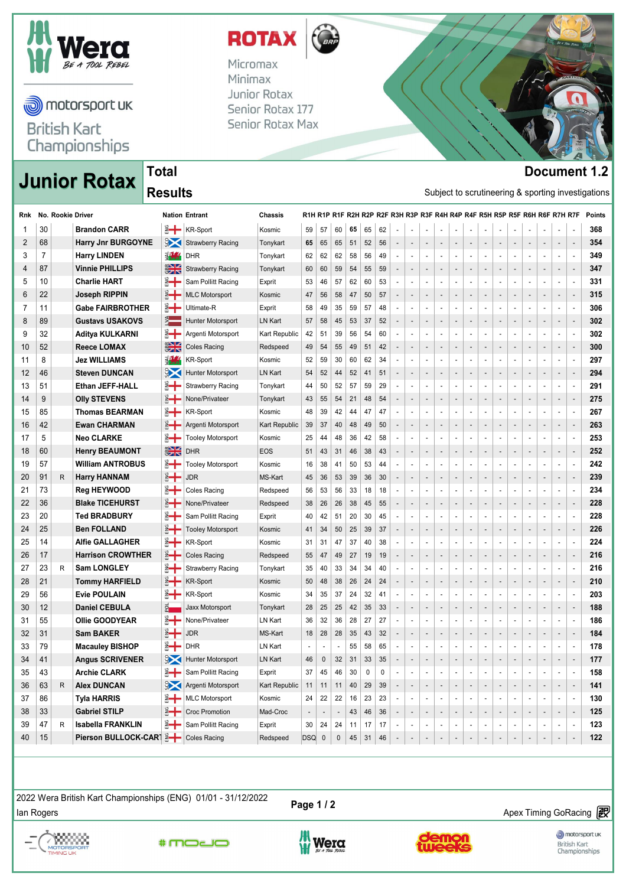

motorsport uk

**British Kart** Championships

# **Junior Rotax Decument 1.2**<br>**Document 1.2**<br>Subject to continuous and approximate properties

### **Total Results**

| ROTA     |  |
|----------|--|
| Micromax |  |
|          |  |

Minimax Junior Rotax Senior Rotax 177 Senior Rotax Max



| Rnk      |    | No. Rookie Driver |                           |                | <b>Nation Entrant</b>    | Chassis       |       |                  |                          |    |    |    |                              |                          |                          |                          |                          |                          |                          |                          |                              |                          |                              | R1H R1P R1F R2H R2P R2F R3H R3P R3F R4H R4P R4F R5H R5P R5F R6H R6F R7H R7F |                          | <b>Points</b> |
|----------|----|-------------------|---------------------------|----------------|--------------------------|---------------|-------|------------------|--------------------------|----|----|----|------------------------------|--------------------------|--------------------------|--------------------------|--------------------------|--------------------------|--------------------------|--------------------------|------------------------------|--------------------------|------------------------------|-----------------------------------------------------------------------------|--------------------------|---------------|
| -1       | 30 |                   | <b>Brandon CARR</b>       |                | <b>KR-Sport</b>          | Kosmic        | 59    | 57               | 60                       | 65 | 65 | 62 | $\overline{\phantom{a}}$     | $\overline{a}$           | $\overline{\phantom{a}}$ |                          |                          | $\overline{\phantom{a}}$ | $\overline{\phantom{a}}$ | $\overline{\phantom{a}}$ | $\overline{\phantom{a}}$     | $\overline{a}$           | Ĭ.                           | $\overline{\phantom{a}}$                                                    |                          | 368           |
| 2        | 68 |                   | <b>Harry Jnr BURGOYNE</b> | $\mathbb{R}$   | <b>Strawberry Racing</b> | Tonykart      | 65    | 65               | 65                       | 51 | 52 | 56 | $\qquad \qquad \blacksquare$ | $\overline{\phantom{a}}$ | $\overline{\phantom{a}}$ | $\overline{a}$           |                          |                          | $\overline{a}$           | $\overline{a}$           | $\qquad \qquad \blacksquare$ | $\overline{\phantom{a}}$ |                              | $\overline{\phantom{a}}$                                                    | $\overline{\phantom{a}}$ | 354           |
| 3        | 7  |                   | <b>Harry LINDEN</b>       | <b>SV SS</b>   | <b>DHR</b>               | Tonykart      | 62    | 62               | 62                       | 58 | 56 | 49 |                              | $\overline{\phantom{a}}$ | $\blacksquare$           |                          | $\blacksquare$           | $\overline{\phantom{a}}$ | $\overline{\phantom{a}}$ |                          |                              |                          |                              | $\overline{\phantom{a}}$                                                    | $\overline{\phantom{a}}$ | 349           |
| 4        | 87 |                   | <b>Vinnie PHILLIPS</b>    | $rac{1}{2}$    | <b>Strawberry Racing</b> | Tonykart      | 60    | 60               | 59                       | 54 | 55 | 59 | $\overline{\phantom{a}}$     | $\overline{\phantom{a}}$ | $\overline{\phantom{a}}$ | $\overline{\phantom{a}}$ | $\overline{\phantom{a}}$ | $\overline{\phantom{a}}$ | $\overline{\phantom{a}}$ | $\overline{\phantom{a}}$ | $\overline{\phantom{a}}$     | $\overline{\phantom{a}}$ | $\qquad \qquad \blacksquare$ | $\overline{\phantom{a}}$                                                    | $\overline{\phantom{a}}$ | 347           |
| 5        | 10 |                   | <b>Charlie HART</b>       | ँ⊣             | Sam Pollitt Racing       | Exprit        | 53    | 46               | 57                       | 62 | 60 | 53 |                              |                          | $\overline{\phantom{a}}$ |                          |                          |                          | $\overline{\phantom{a}}$ |                          |                              |                          |                              | $\overline{\phantom{a}}$                                                    | $\overline{\phantom{a}}$ | 331           |
| 6        | 22 |                   | Joseph RIPPIN             | ै              | <b>MLC Motorsport</b>    | Kosmic        | 47    | 56               | 58                       | 47 | 50 | 57 | $\qquad \qquad \blacksquare$ | $\overline{\phantom{a}}$ | $\overline{\phantom{a}}$ | $\overline{\phantom{a}}$ |                          | $\overline{\phantom{a}}$ | $\overline{\phantom{a}}$ | $\overline{\phantom{a}}$ | $\qquad \qquad \blacksquare$ | $\overline{\phantom{a}}$ |                              | $\overline{\phantom{a}}$                                                    | $\overline{\phantom{a}}$ | 315           |
| 7        | 11 |                   | <b>Gabe FAIRBROTHER</b>   | ะ⊣             | Ultimate-R               | Exprit        | 58    | 49               | 35                       | 59 | 57 | 48 | $\overline{\phantom{a}}$     | ٠                        | $\blacksquare$           | $\overline{\phantom{a}}$ | $\overline{\phantom{a}}$ |                          | $\overline{\phantom{a}}$ | $\blacksquare$           | $\overline{\phantom{a}}$     |                          |                              | $\overline{\phantom{a}}$                                                    | $\overline{\phantom{a}}$ | 306           |
| 8        | 89 |                   | <b>Gustavs USAKOVS</b>    | $\frac{1}{2}$  | Hunter Motorsport        | LN Kart       | 57    | 58               | 45                       | 53 | 37 | 52 | -                            | $\overline{\phantom{a}}$ | $\overline{\phantom{a}}$ | $\overline{\phantom{a}}$ |                          | $\overline{\phantom{a}}$ | $\overline{\phantom{a}}$ | $\overline{\phantom{a}}$ | $\qquad \qquad \blacksquare$ | $\overline{\phantom{a}}$ | -                            | $\overline{\phantom{a}}$                                                    | $\overline{a}$           | 302           |
| 9        | 32 |                   | Aditya KULKARNI           | ៖⊣             | Argenti Motorsport       | Kart Republic | 42    | 51               | 39                       | 56 | 54 | 60 | $\overline{\phantom{a}}$     | ÷,                       | $\overline{\phantom{a}}$ | $\overline{\phantom{a}}$ | $\blacksquare$           |                          | $\overline{\phantom{a}}$ | $\overline{\phantom{a}}$ | $\overline{\phantom{a}}$     | $\overline{\phantom{a}}$ | ÷                            | $\overline{\phantom{a}}$                                                    | $\overline{\phantom{a}}$ | 302           |
| 10       | 52 |                   | <b>Reece LOMAX</b>        | $\frac{1}{2}$  | Coles Racing             | Redspeed      | 49    | 54               | 55                       | 49 | 51 | 42 |                              | $\overline{\phantom{a}}$ | $\overline{\phantom{a}}$ | $\overline{\phantom{a}}$ |                          |                          | $\overline{\phantom{a}}$ | ۰                        | $\qquad \qquad \blacksquare$ | $\overline{\phantom{a}}$ | -                            | $\overline{\phantom{a}}$                                                    | $\overline{\phantom{a}}$ | 300           |
| 11       | 8  |                   | <b>Jez WILLIAMS</b>       | 张              | <b>KR-Sport</b>          | Kosmic        | 52    | 59               | 30                       | 60 | 62 | 34 |                              | $\blacksquare$           | $\blacksquare$           | $\overline{\phantom{a}}$ | $\blacksquare$           | $\overline{\phantom{a}}$ | $\overline{\phantom{a}}$ | $\overline{\phantom{a}}$ | $\overline{\phantom{a}}$     | $\overline{\phantom{a}}$ | $\overline{\phantom{a}}$     | $\overline{\phantom{a}}$                                                    | $\overline{\phantom{a}}$ | 297           |
| 12       | 46 |                   | <b>Steven DUNCAN</b>      | $\frac{3}{2}$  | Hunter Motorsport        | LN Kart       | 54    | 52               | 44                       | 52 | 41 | 51 | $\overline{\phantom{a}}$     | $\overline{\phantom{a}}$ | $\overline{\phantom{a}}$ | $\overline{\phantom{a}}$ | $\overline{\phantom{a}}$ | $\overline{\phantom{a}}$ | $\overline{\phantom{a}}$ | $\overline{\phantom{a}}$ | $\qquad \qquad \blacksquare$ | $\overline{\phantom{a}}$ | $\overline{\phantom{a}}$     | $\overline{\phantom{a}}$                                                    | $\overline{\phantom{a}}$ | 294           |
| 13       | 51 |                   | <b>Ethan JEFF-HALL</b>    | ៖⊣             | <b>Strawberry Racing</b> | Tonykart      | 44    | 50               | 52                       | 57 | 59 | 29 |                              | -                        | $\overline{\phantom{a}}$ |                          |                          |                          | $\overline{\phantom{a}}$ | $\overline{\phantom{a}}$ |                              |                          |                              | $\overline{\phantom{a}}$                                                    | $\overline{\phantom{a}}$ | 291           |
| 14       | 9  |                   | <b>Olly STEVENS</b>       | ै              | None/Privateer           | Tonykart      | 43    | 55               | 54                       | 21 | 48 | 54 | $\qquad \qquad \blacksquare$ | $\overline{\phantom{a}}$ | $\overline{\phantom{a}}$ | $\overline{\phantom{a}}$ | $\overline{\phantom{a}}$ | $\overline{\phantom{a}}$ | $\overline{\phantom{a}}$ | $\overline{\phantom{a}}$ | $\qquad \qquad \blacksquare$ | $\overline{\phantom{a}}$ | $\overline{\phantom{a}}$     | $\overline{\phantom{a}}$                                                    | $\overline{\phantom{a}}$ | 275           |
| 15       | 85 |                   | <b>Thomas BEARMAN</b>     | ะ⊣             | <b>KR-Sport</b>          | Kosmic        | 48    | 39               | 42                       | 44 | 47 | 47 |                              | ÷,                       | $\blacksquare$           |                          |                          |                          |                          | $\overline{\phantom{a}}$ |                              | $\overline{\phantom{a}}$ |                              | $\overline{\phantom{a}}$                                                    | $\overline{\phantom{a}}$ | 267           |
| 16       | 42 |                   | <b>Ewan CHARMAN</b>       | $\frac{1}{2}$  | Argenti Motorsport       | Kart Republic | 39    | 37               | 40                       | 48 | 49 | 50 | ٠                            | $\overline{\phantom{a}}$ | $\overline{\phantom{a}}$ |                          |                          | $\overline{\phantom{a}}$ | $\overline{\phantom{a}}$ | $\overline{\phantom{a}}$ | $\overline{\phantom{a}}$     | $\overline{\phantom{a}}$ |                              | $\overline{\phantom{a}}$                                                    | $\overline{\phantom{a}}$ | 263           |
| 17       | 5  |                   | <b>Neo CLARKE</b>         | ੂ⊣             | <b>Tooley Motorsport</b> | Kosmic        | 25    | 44               | 48                       | 36 | 42 | 58 |                              | ÷,                       | $\blacksquare$           |                          |                          |                          | $\overline{\phantom{a}}$ |                          | $\overline{a}$               |                          |                              | $\overline{\phantom{a}}$                                                    | $\blacksquare$           | 253           |
| 18       | 60 |                   | <b>Henry BEAUMONT</b>     | $rac{1}{2}$    | <b>DHR</b>               | <b>EOS</b>    | 51    | 43               | 31                       | 46 | 38 | 43 |                              | $\overline{\phantom{a}}$ | $\overline{\phantom{a}}$ |                          |                          |                          | $\overline{\phantom{a}}$ | $\overline{\phantom{a}}$ | $\overline{\phantom{a}}$     |                          | -                            | $\overline{\phantom{a}}$                                                    | $\overline{\phantom{a}}$ | 252           |
| 19       | 57 |                   | <b>William ANTROBUS</b>   | ะ⊣             | <b>Tooley Motorsport</b> | Kosmic        | 16    | 38               | 41                       | 50 | 53 | 44 |                              | $\overline{a}$           | $\overline{\phantom{a}}$ |                          |                          |                          |                          |                          |                              |                          |                              | $\overline{\phantom{a}}$                                                    | $\overline{\phantom{a}}$ | 242           |
| 20       | 91 | R                 | <b>Harry HANNAM</b>       | $rac{9}{5}$    | <b>JDR</b>               | MS-Kart       | 45    | 36               | 53                       | 39 | 36 | 30 | $\qquad \qquad \blacksquare$ | $\overline{\phantom{a}}$ | $\overline{\phantom{a}}$ | $\overline{\phantom{a}}$ | $\overline{\phantom{a}}$ | $\overline{\phantom{a}}$ | $\overline{\phantom{a}}$ | $\overline{\phantom{a}}$ | $\overline{\phantom{a}}$     | $\overline{\phantom{a}}$ | $\qquad \qquad \blacksquare$ | $\overline{\phantom{a}}$                                                    | $\overline{\phantom{a}}$ | 239           |
| 21       | 73 |                   | <b>Reg HEYWOOD</b>        | ੂ⊣             | <b>Coles Racing</b>      | Redspeed      | 56    | 53               | 56                       | 33 | 18 | 18 |                              | $\overline{a}$           | $\overline{\phantom{a}}$ |                          |                          |                          | ÷                        |                          |                              |                          |                              | $\blacksquare$                                                              | $\overline{\phantom{a}}$ | 234           |
| 22       | 36 |                   | <b>Blake TICEHURST</b>    | ै              | None/Privateer           | Redspeed      | 38    | 26               | 26                       | 38 | 45 | 55 | ٠                            | $\overline{\phantom{a}}$ | $\overline{\phantom{a}}$ | $\overline{\phantom{a}}$ |                          | $\overline{\phantom{a}}$ | $\overline{\phantom{a}}$ | $\overline{\phantom{a}}$ | $\qquad \qquad \blacksquare$ | $\overline{\phantom{a}}$ | $\overline{\phantom{a}}$     | $\overline{\phantom{a}}$                                                    | $\overline{\phantom{a}}$ | 228           |
| 23       | 20 |                   | <b>Ted BRADBURY</b>       | ะ⊣             | Sam Pollitt Racing       | Exprit        | 40    | 42               | 51                       | 20 | 30 | 45 | $\overline{\phantom{a}}$     | $\overline{\phantom{a}}$ | $\blacksquare$           | $\overline{\phantom{a}}$ | $\blacksquare$           | $\overline{\phantom{a}}$ | $\overline{\phantom{a}}$ | $\overline{\phantom{a}}$ | $\blacksquare$               | $\overline{\phantom{a}}$ | ÷                            | $\overline{\phantom{a}}$                                                    | $\overline{\phantom{a}}$ | 228           |
| 24       | 25 |                   | <b>Ben FOLLAND</b>        | ँ⊣             | <b>Tooley Motorsport</b> | Kosmic        | 41    | 34               | 50                       | 25 | 39 | 37 | ٠                            | $\overline{\phantom{a}}$ | $\overline{\phantom{a}}$ | $\overline{\phantom{a}}$ |                          | $\overline{\phantom{a}}$ | $\overline{\phantom{a}}$ | $\overline{\phantom{a}}$ | $\qquad \qquad \blacksquare$ | $\overline{\phantom{a}}$ | -                            | $\overline{\phantom{a}}$                                                    | $\overline{\phantom{a}}$ | 226           |
| 25       | 14 |                   | <b>Alfie GALLAGHER</b>    | ੂ⊣             | <b>KR-Sport</b>          | Kosmic        | 31    | 31               | 47                       | 37 | 40 | 38 | ÷,                           | ÷,                       | $\overline{\phantom{a}}$ | $\overline{\phantom{a}}$ | $\overline{\phantom{a}}$ | $\overline{\phantom{a}}$ | $\overline{\phantom{a}}$ | $\overline{\phantom{a}}$ | $\overline{a}$               | $\blacksquare$           | Ĭ.                           | $\overline{\phantom{a}}$                                                    | $\overline{\phantom{a}}$ | 224           |
| 26       | 17 |                   | <b>Harrison CROWTHER</b>  | $\frac{8}{3}$  | <b>Coles Racing</b>      | Redspeed      | 55    | 47               | 49                       | 27 | 19 | 19 | -                            | $\overline{\phantom{a}}$ | $\overline{\phantom{a}}$ | $\overline{\phantom{a}}$ |                          |                          | $\overline{\phantom{a}}$ | $\overline{\phantom{a}}$ | $\qquad \qquad \blacksquare$ | $\overline{\phantom{a}}$ | $\overline{\phantom{a}}$     | $\overline{\phantom{a}}$                                                    | $\overline{\phantom{a}}$ | 216           |
| 27       | 23 | R                 | <b>Sam LONGLEY</b>        | ँ⊣             | <b>Strawberry Racing</b> | Tonykart      | 35    | 40               | 33                       | 34 | 34 | 40 |                              | $\overline{\phantom{a}}$ | $\overline{\phantom{a}}$ | $\overline{\phantom{a}}$ | $\blacksquare$           | $\overline{\phantom{a}}$ | $\overline{\phantom{a}}$ | $\overline{\phantom{a}}$ | $\overline{\phantom{a}}$     | $\overline{\phantom{a}}$ | ÷                            | $\overline{\phantom{a}}$                                                    | $\blacksquare$           | 216           |
| 28       | 21 |                   | <b>Tommy HARFIELD</b>     | $\frac{1}{2}$  | <b>KR-Sport</b>          | Kosmic        | 50    | 48               | 38                       | 26 | 24 | 24 | $\overline{\phantom{a}}$     | $\overline{\phantom{a}}$ | $\overline{\phantom{a}}$ | $\overline{\phantom{a}}$ | $\overline{\phantom{a}}$ | $\overline{\phantom{a}}$ | $\overline{\phantom{a}}$ | $\overline{\phantom{a}}$ | $\qquad \qquad \blacksquare$ | $\overline{\phantom{a}}$ | $\overline{\phantom{a}}$     | $\overline{\phantom{a}}$                                                    | $\overline{\phantom{a}}$ | 210           |
| 29       | 56 |                   | <b>Evie POULAIN</b>       | ੂ⊣             | <b>KR-Sport</b>          | Kosmic        | 34    | 35               | 37                       | 24 | 32 | 41 |                              | $\overline{a}$           | $\overline{a}$           |                          |                          |                          | ÷                        | $\overline{\phantom{a}}$ |                              |                          |                              | $\overline{\phantom{a}}$                                                    | $\overline{\phantom{a}}$ | 203           |
| 30       | 12 |                   | <b>Daniel CEBULA</b>      | 핢              | Jaxx Motorsport          | Tonykart      | 28    | 25               | 25                       | 42 | 35 | 33 | $\qquad \qquad \blacksquare$ | $\overline{\phantom{a}}$ | $\overline{\phantom{a}}$ | $\overline{\phantom{a}}$ |                          | $\overline{\phantom{a}}$ | $\overline{\phantom{a}}$ | $\overline{\phantom{a}}$ | $\qquad \qquad \blacksquare$ | $\overline{\phantom{a}}$ | $\overline{\phantom{a}}$     | $\overline{\phantom{a}}$                                                    | $\overline{\phantom{a}}$ | 188           |
| 31       | 55 |                   | Ollie GOODYEAR            | ะ⊣             | None/Privateer           | LN Kart       | 36    | 32               | 36                       | 28 | 27 | 27 | $\overline{a}$               | $\overline{\phantom{a}}$ | $\blacksquare$           |                          | $\overline{\phantom{a}}$ | $\overline{\phantom{a}}$ | $\overline{\phantom{a}}$ | $\overline{\phantom{a}}$ | $\overline{\phantom{a}}$     | $\overline{\phantom{a}}$ |                              | $\blacksquare$                                                              | $\blacksquare$           | 186           |
| 32       | 31 |                   | <b>Sam BAKER</b>          | ै ⊣            | JDR                      | MS-Kart       | 18    | 28               | 28                       | 35 | 43 | 32 | $\qquad \qquad \blacksquare$ | $\overline{\phantom{a}}$ | $\overline{\phantom{a}}$ |                          | $\overline{\phantom{a}}$ |                          | $\overline{\phantom{a}}$ | $\overline{\phantom{a}}$ | $\overline{\phantom{a}}$     | $\overline{\phantom{a}}$ | $\overline{\phantom{a}}$     | $\overline{\phantom{a}}$                                                    | $\overline{\phantom{a}}$ | 184           |
| 33       | 79 |                   | <b>Macauley BISHOP</b>    | ៖+             | DHR                      | LN Kart       |       |                  |                          | 55 | 58 | 65 |                              |                          |                          |                          |                          |                          |                          |                          |                              |                          |                              |                                                                             |                          | 178           |
| 41<br>34 |    |                   | <b>Angus SCRIVENER</b>    |                | Hunter Motorsport        | LN Kart       | 46    | $\boldsymbol{0}$ | 32                       | 31 | 33 | 35 | $\overline{\phantom{a}}$     | $\overline{\phantom{a}}$ | ÷,                       |                          |                          | $\overline{\phantom{a}}$ | ÷,                       |                          |                              |                          |                              | ۰,                                                                          | $\overline{\phantom{a}}$ | 177           |
| 35       | 43 |                   | <b>Archie CLARK</b>       | ≚—ी            | Sam Pollitt Racing       | Exprit        | 37    | 45               | 46                       | 30 | 0  | 0  |                              |                          |                          |                          |                          |                          |                          |                          |                              |                          |                              |                                                                             |                          | 158           |
| 36       | 63 | R                 | <b>Alex DUNCAN</b>        | $\mathbb{R}^3$ | Argenti Motorsport       | Kart Republic | 11    | 11               | $\vert$ 11               | 40 | 29 | 39 |                              |                          |                          |                          |                          |                          |                          |                          |                              |                          |                              | $\overline{\phantom{a}}$                                                    |                          | 141           |
| 37       | 86 |                   | <b>Tyla HARRIS</b>        | ै ⊹            | <b>MLC Motorsport</b>    | Kosmic        | 24    | 22               | 22                       | 16 | 23 | 23 |                              |                          |                          |                          |                          |                          |                          |                          |                              |                          |                              | $\overline{\phantom{a}}$                                                    |                          | 130           |
| 38       | 33 |                   | <b>Gabriel STILP</b>      | ะ+             | Croc Promotion           | Mad-Croc      |       |                  | $\overline{\phantom{a}}$ | 43 | 46 | 36 |                              | $\overline{\phantom{a}}$ | $\overline{\phantom{a}}$ |                          |                          |                          | $\overline{\phantom{a}}$ |                          |                              |                          |                              | $\overline{\phantom{a}}$                                                    |                          | 125           |
| 39       | 47 | R                 | <b>Isabella FRANKLIN</b>  | ≋—†            | Sam Pollitt Racing       | Exprit        | 30    | 24               | 24                       | 11 | 17 | 17 |                              | $\overline{\phantom{a}}$ | $\overline{\phantom{a}}$ |                          |                          | $\overline{\phantom{a}}$ | $\overline{\phantom{a}}$ | $\overline{\phantom{a}}$ |                              |                          |                              | $\overline{\phantom{a}}$                                                    | $\overline{\phantom{a}}$ | 123           |
| 40       | 15 |                   | Pierson BULLOCK-CART      |                | <b>Coles Racing</b>      | Redspeed      | DSQ 0 |                  | 0                        | 45 | 31 | 46 |                              |                          |                          |                          |                          |                          | $\overline{\phantom{a}}$ |                          |                              |                          |                              | $\overline{\phantom{a}}$                                                    |                          | 122           |

zuzz wera british Nart Championships (ENG) 01/01 - 31/12/2022<br>Ian Rogers Apex Timing GoRacing **PO** 2022 Wera British Kart Championships (ENG) 01/01 - 31/12/2022 **Page 1 / 2**

 $\overline{\phantom{a}}$  - drive your success https://www.apex-timing.com/